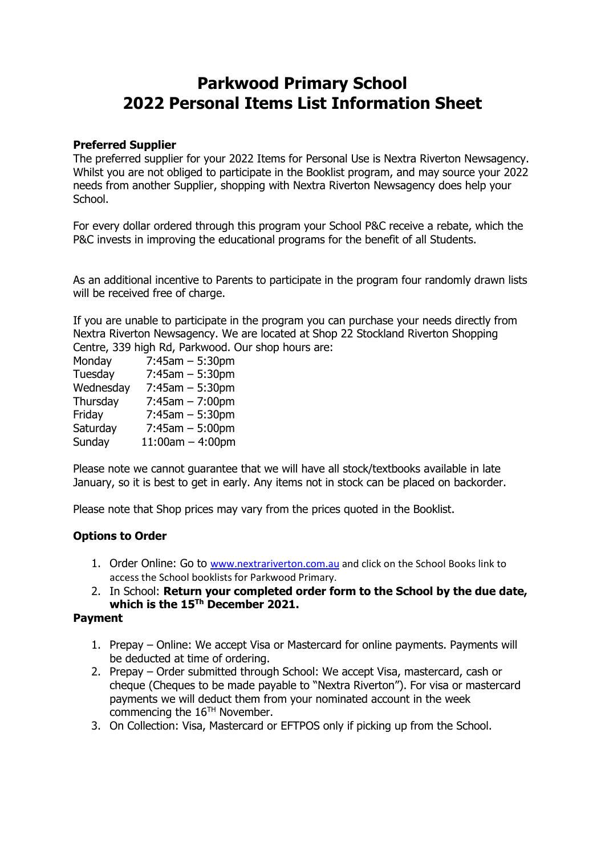# **Parkwood Primary School 2022 Personal Items List Information Sheet**

#### **Preferred Supplier**

The preferred supplier for your 2022 Items for Personal Use is Nextra Riverton Newsagency. Whilst you are not obliged to participate in the Booklist program, and may source your 2022 needs from another Supplier, shopping with Nextra Riverton Newsagency does help your School.

For every dollar ordered through this program your School P&C receive a rebate, which the P&C invests in improving the educational programs for the benefit of all Students.

As an additional incentive to Parents to participate in the program four randomly drawn lists will be received free of charge.

If you are unable to participate in the program you can purchase your needs directly from Nextra Riverton Newsagency. We are located at Shop 22 Stockland Riverton Shopping Centre, 339 high Rd, Parkwood. Our shop hours are:

| Monday    | $7:45am - 5:30pm$     |
|-----------|-----------------------|
| Tuesday   | $7:45$ am $-5:30$ pm  |
| Wednesday | $7:45$ am $-5:30$ pm  |
| Thursday  | $7:45$ am $-7:00$ pm  |
| Friday    | $7:45$ am $-5:30$ pm  |
| Saturday  | $7:45$ am $-5:00$ pm  |
| Sunday    | $11:00$ am $-4:00$ pm |

Please note we cannot guarantee that we will have all stock/textbooks available in late January, so it is best to get in early. Any items not in stock can be placed on backorder.

Please note that Shop prices may vary from the prices quoted in the Booklist.

## **Options to Order**

- 1. Order Online: Go to [www.nextrariverton.com.au](http://www.nextrariverton.com.au/) and click on the School Books link to access the School booklists for Parkwood Primary.
- 2. In School: **Return your completed order form to the School by the due date, which is the 15Th December 2021.**

#### **Payment**

- 1. Prepay Online: We accept Visa or Mastercard for online payments. Payments will be deducted at time of ordering.
- 2. Prepay Order submitted through School: We accept Visa, mastercard, cash or cheque (Cheques to be made payable to "Nextra Riverton"). For visa or mastercard payments we will deduct them from your nominated account in the week commencing the 16TH November.
- 3. On Collection: Visa, Mastercard or EFTPOS only if picking up from the School.